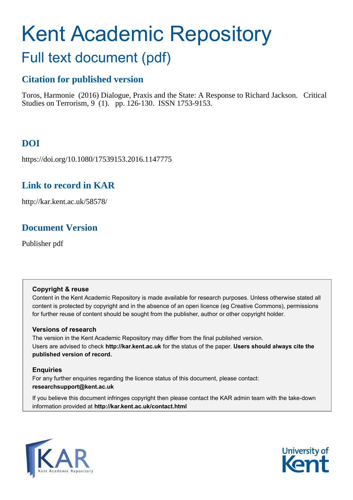# Kent Academic Repository

# Full text document (pdf)

## **Citation for published version**

Toros, Harmonie (2016) Dialogue, Praxis and the State: A Response to Richard Jackson. Critical Studies on Terrorism, 9 (1). pp. 126-130. ISSN 1753-9153.

# **DOI**

https://doi.org/10.1080/17539153.2016.1147775

### **Link to record in KAR**

http://kar.kent.ac.uk/58578/

### **Document Version**

Publisher pdf

### **Copyright & reuse**

Content in the Kent Academic Repository is made available for research purposes. Unless otherwise stated all content is protected by copyright and in the absence of an open licence (eg Creative Commons), permissions for further reuse of content should be sought from the publisher, author or other copyright holder.

### **Versions of research**

The version in the Kent Academic Repository may differ from the final published version. Users are advised to check **http://kar.kent.ac.uk** for the status of the paper. **Users should always cite the published version of record.**

### **Enquiries**

For any further enquiries regarding the licence status of this document, please contact: **researchsupport@kent.ac.uk**

If you believe this document infringes copyright then please contact the KAR admin team with the take-down information provided at **http://kar.kent.ac.uk/contact.html**



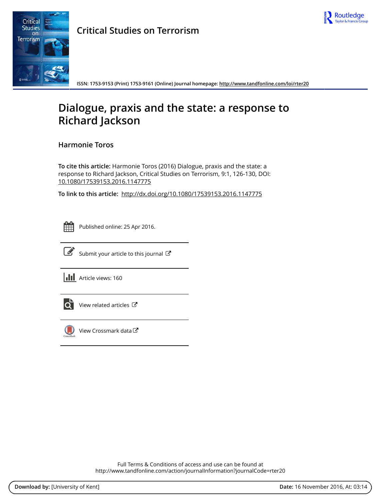



**Critical Studies on Terrorism**

**ISSN: 1753-9153 (Print) 1753-9161 (Online) Journal homepage:<http://www.tandfonline.com/loi/rter20>**

# **Dialogue, praxis and the state: a response to Richard Jackson**

**Harmonie Toros**

**To cite this article:** Harmonie Toros (2016) Dialogue, praxis and the state: a response to Richard Jackson, Critical Studies on Terrorism, 9:1, 126-130, DOI: [10.1080/17539153.2016.1147775](http://www.tandfonline.com/action/showCitFormats?doi=10.1080/17539153.2016.1147775)

**To link to this article:** <http://dx.doi.org/10.1080/17539153.2016.1147775>

| a.<br>-<br>_<br>- |  |  |  |  |  |
|-------------------|--|--|--|--|--|
|                   |  |  |  |  |  |
|                   |  |  |  |  |  |
|                   |  |  |  |  |  |

Published online: 25 Apr 2016.



 $\overrightarrow{S}$  [Submit your article to this journal](http://www.tandfonline.com/action/authorSubmission?journalCode=rter20&show=instructions)  $\overrightarrow{S}$ 

**III** Article views: 160



 $\overrightarrow{Q}$  [View related articles](http://www.tandfonline.com/doi/mlt/10.1080/17539153.2016.1147775)  $\overrightarrow{C}$ 



[View Crossmark data](http://crossmark.crossref.org/dialog/?doi=10.1080/17539153.2016.1147775&domain=pdf&date_stamp=2016-04-25)<sup>で</sup>

Full Terms & Conditions of access and use can be found at <http://www.tandfonline.com/action/journalInformation?journalCode=rter20>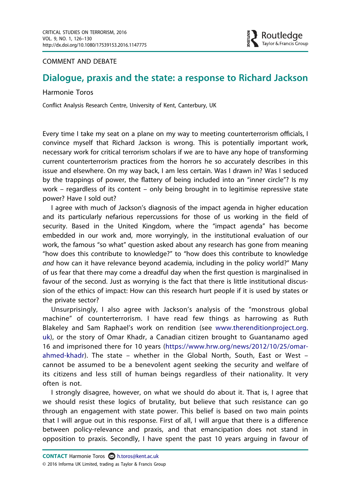#### COMMENT AND DEBATE

### Dialogue, praxis and the state: a response to Richard Jackson

#### Harmonie Toros

Conflict Analysis Research Centre, University of Kent, Canterbury, UK

Every time I take my seat on a plane on my way to meeting counterterrorism officials, I convince myself that Richard Jackson is wrong. This is potentially important work, necessary work for critical terrorism scholars if we are to have any hope of transforming current counterterrorism practices from the horrors he so accurately describes in this issue and elsewhere. On my way back, I am less certain. Was I drawn in? Was I seduced by the trappings of power, the flattery of being included into an "inner circle"? Is my work – regardless of its content – only being brought in to legitimise repressive state power? Have I sold out?

<span id="page-2-1"></span>I agree with much of Jackson's diagnosis of the impact agenda in higher education and its particularly nefarious repercussions for those of us working in the field of security. Based in the United Kingdom, where the "impact agenda" has become embedded in our work and, more worryingly, in the institutional evaluation of our work, the famous "so what" question asked about any research has gone from meaning "how does this contribute to knowledge?" to "how does this contribute to knowledge and how can it have relevance beyond academia, including in the policy world?" Many of us fear that there may come a dreadful day when the first question is marginalised in favour of the second. Just as worrying is the fact that there is little institutional discussion of the ethics of impact: How can this research hurt people if it is used by states or the private sector?

Unsurprisingly, I also agree with Jackson's analysis of the "monstrous global machine" of counterterrorism. I have read few things as harrowing as Ruth Blakeley and Sam Raphael's work on rendition (see [www.therenditionproject.org.](http://www.therenditionproject.org.uk) [uk\)](http://www.therenditionproject.org.uk), or the story of Omar Khadr, a Canadian citizen brought to Guantanamo aged 16 and imprisoned there for 10 years ([https://www.hrw.org/news/2012/10/25/omar](https://www.hrw.org/news/2012/10/25/omar-ahmed-khadr)[ahmed-khadr\)](https://www.hrw.org/news/2012/10/25/omar-ahmed-khadr). The state – whether in the Global North, South, East or West – cannot be assumed to be a benevolent agent seeking the security and welfare of its citizens and less still of human beings regardless of their nationality. It very often is not.

<span id="page-2-0"></span>I strongly disagree, however, on what we should do about it. That is, I agree that we should resist these logics of brutality, but believe that such resistance can go through an engagement with state power. This belief is based on two main points that I will argue out in this response. First of all, I will argue that there is a difference between policy-relevance and praxis, and that emancipation does not stand in opposition to praxis. Secondly, I have spent the past 10 years arguing in favour of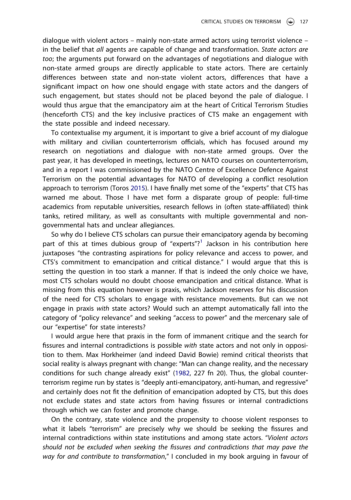<span id="page-3-3"></span><span id="page-3-1"></span>dialogue with violent actors – mainly non-state armed actors using terrorist violence – in the belief that all agents are capable of change and transformation. State actors are too; the arguments put forward on the advantages of negotiations and dialogue with non-state armed groups are directly applicable to state actors. There are certainly differences between state and non-state violent actors, differences that have a significant impact on how one should engage with state actors and the dangers of such engagement, but states should not be placed beyond the pale of dialogue. I would thus argue that the emancipatory aim at the heart of Critical Terrorism Studies (henceforth CTS) and the key inclusive practices of CTS make an engagement with the state possible and indeed necessary.

To contextualise my argument, it is important to give a brief account of my dialogue with military and civilian counterterrorism officials, which has focused around my research on negotiations and dialogue with non-state armed groups. Over the past year, it has developed in meetings, lectures on NATO courses on counterterrorism, and in a report I was commissioned by the NATO Centre of Excellence Defence Against Terrorism on the potential advantages for NATO of developing a conflict resolution approach to terrorism (Toros [2015](#page-5-0)). I have finally met some of the "experts" that CTS has warned me about. Those I have met form a disparate group of people: full-time academics from reputable universities, research fellows in (often state-affiliated) think tanks, retired military, as well as consultants with multiple governmental and nongovernmental hats and unclear allegiances.

So why do I believe CTS scholars can pursue their emancipatory agenda by becoming part of this at times dubious group of "experts"?<sup>[1](#page-5-1)</sup> Jackson in his contribution here juxtaposes "the contrasting aspirations for policy relevance and access to power, and CTS's commitment to emancipation and critical distance." I would argue that this is setting the question in too stark a manner. If that is indeed the only choice we have, most CTS scholars would no doubt choose emancipation and critical distance. What is missing from this equation however is praxis, which Jackson reserves for his discussion of the need for CTS scholars to engage with resistance movements. But can we not engage in praxis with state actors? Would such an attempt automatically fall into the category of "policy relevance" and seeking "access to power" and the mercenary sale of our "expertise" for state interests?

<span id="page-3-2"></span>I would argue here that praxis in the form of immanent critique and the search for fissures and internal contradictions is possible with state actors and not only in opposition to them. Max Horkheimer (and indeed David Bowie) remind critical theorists that social reality is always pregnant with change: "Man can change reality, and the necessary conditions for such change already exist" [\(1982,](#page-5-2) 227 fn 20). Thus, the global counterterrorism regime run by states is "deeply anti-emancipatory, anti-human, and regressive" and certainly does not fit the definition of emancipation adopted by CTS, but this does not exclude states and state actors from having fissures or internal contradictions through which we can foster and promote change.

<span id="page-3-0"></span>On the contrary, state violence and the propensity to choose violent responses to what it labels "terrorism" are precisely why we should be seeking the fissures and internal contradictions within state institutions and among state actors. "Violent actors should not be excluded when seeking the fissures and contradictions that may pave the way for and contribute to transformation," I concluded in my book arguing in favour of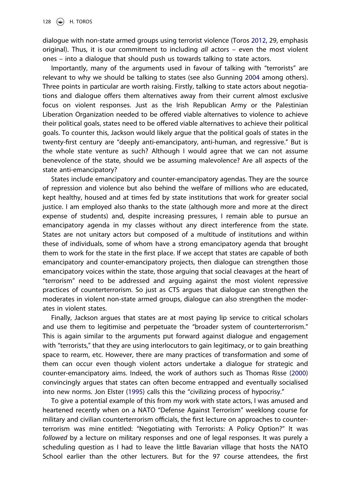dialogue with non-state armed groups using terrorist violence (Toros [2012,](#page-5-3) 29, emphasis original). Thus, it is our commitment to including  $all$  actors  $-$  even the most violent ones – into a dialogue that should push us towards talking to state actors.

Importantly, many of the arguments used in favour of talking with "terrorists" are relevant to why we should be talking to states (see also Gunning [2004](#page-5-4) among others). Three points in particular are worth raising. Firstly, talking to state actors about negotiations and dialogue offers them alternatives away from their current almost exclusive focus on violent responses. Just as the Irish Republican Army or the Palestinian Liberation Organization needed to be offered viable alternatives to violence to achieve their political goals, states need to be offered viable alternatives to achieve their political goals. To counter this, Jackson would likely argue that the political goals of states in the twenty-first century are "deeply anti-emancipatory, anti-human, and regressive." But is the whole state venture as such? Although I would agree that we can not assume benevolence of the state, should we be assuming malevolence? Are all aspects of the state anti-emancipatory?

<span id="page-4-0"></span>States include emancipatory and counter-emancipatory agendas. They are the source of repression and violence but also behind the welfare of millions who are educated, kept healthy, housed and at times fed by state institutions that work for greater social justice. I am employed also thanks to the state (although more and more at the direct expense of students) and, despite increasing pressures, I remain able to pursue an emancipatory agenda in my classes without any direct interference from the state. States are not unitary actors but composed of a multitude of institutions and within these of individuals, some of whom have a strong emancipatory agenda that brought them to work for the state in the first place. If we accept that states are capable of both emancipatory and counter-emancipatory projects, then dialogue can strengthen those emancipatory voices within the state, those arguing that social cleavages at the heart of "terrorism" need to be addressed and arguing against the most violent repressive practices of counterterrorism. So just as CTS argues that dialogue can strengthen the moderates in violent non-state armed groups, dialogue can also strengthen the moderates in violent states.

Finally, Jackson argues that states are at most paying lip service to critical scholars and use them to legitimise and perpetuate the "broader system of counterterrorism." This is again similar to the arguments put forward against dialogue and engagement with "terrorists," that they are using interlocutors to gain legitimacy, or to gain breathing space to rearm, etc. However, there are many practices of transformation and some of them can occur even though violent actors undertake a dialogue for strategic and counter-emancipatory aims. Indeed, the work of authors such as Thomas Risse ([2000](#page-5-5)) convincingly argues that states can often become entrapped and eventually socialised into new norms. Jon Elster [\(1995\)](#page-5-6) calls this the "civilizing process of hypocrisy."

To give a potential example of this from my work with state actors, I was amused and heartened recently when on a NATO "Defense Against Terrorism" weeklong course for military and civilian counterterrorism officials, the first lecture on approaches to counterterrorism was mine entitled: "Negotiating with Terrorists: A Policy Option?" It was followed by a lecture on military responses and one of legal responses. It was purely a scheduling question as I had to leave the little Bavarian village that hosts the NATO School earlier than the other lecturers. But for the 97 course attendees, the first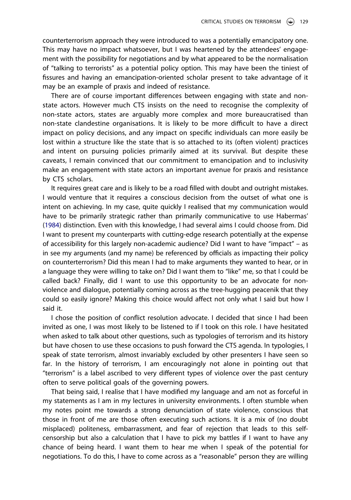counterterrorism approach they were introduced to was a potentially emancipatory one. This may have no impact whatsoever, but I was heartened by the attendees' engagement with the possibility for negotiations and by what appeared to be the normalisation of "talking to terrorists" as a potential policy option. This may have been the tiniest of fissures and having an emancipation-oriented scholar present to take advantage of it may be an example of praxis and indeed of resistance.

There are of course important differences between engaging with state and nonstate actors. However much CTS insists on the need to recognise the complexity of non-state actors, states are arguably more complex and more bureaucratised than non-state clandestine organisations. It is likely to be more difficult to have a direct impact on policy decisions, and any impact on specific individuals can more easily be lost within a structure like the state that is so attached to its (often violent) practices and intent on pursuing policies primarily aimed at its survival. But despite these caveats, I remain convinced that our commitment to emancipation and to inclusivity make an engagement with state actors an important avenue for praxis and resistance by CTS scholars.

<span id="page-5-1"></span>It requires great care and is likely to be a road filled with doubt and outright mistakes. I would venture that it requires a conscious decision from the outset of what one is intent on achieving. In my case, quite quickly I realised that my communication would have to be primarily strategic rather than primarily communicative to use Habermas' ([1984](#page-5-7)) distinction. Even with this knowledge, I had several aims I could choose from. Did I want to present my counterparts with cutting-edge research potentially at the expense of accessibility for this largely non-academic audience? Did I want to have "impact" – as in see my arguments (and my name) be referenced by officials as impacting their policy on counterterrorism? Did this mean I had to make arguments they wanted to hear, or in a language they were willing to take on? Did I want them to "like" me, so that I could be called back? Finally, did I want to use this opportunity to be an advocate for nonviolence and dialogue, potentially coming across as the tree-hugging peacenik that they could so easily ignore? Making this choice would affect not only what I said but how I said it.

<span id="page-5-7"></span><span id="page-5-6"></span><span id="page-5-4"></span>I chose the position of conflict resolution advocate. I decided that since I had been invited as one, I was most likely to be listened to if I took on this role. I have hesitated when asked to talk about other questions, such as typologies of terrorism and its history but have chosen to use these occasions to push forward the CTS agenda. In typologies, I speak of state terrorism, almost invariably excluded by other presenters I have seen so far. In the history of terrorism, I am encouragingly not alone in pointing out that "terrorism" is a label ascribed to very different types of violence over the past century often to serve political goals of the governing powers.

<span id="page-5-5"></span><span id="page-5-3"></span><span id="page-5-2"></span><span id="page-5-0"></span>That being said, I realise that I have modified my language and am not as forceful in my statements as I am in my lectures in university environments. I often stumble when my notes point me towards a strong denunciation of state violence, conscious that those in front of me are those often executing such actions. It is a mix of (no doubt misplaced) politeness, embarrassment, and fear of rejection that leads to this selfcensorship but also a calculation that I have to pick my battles if I want to have any chance of being heard. I want them to hear me when I speak of the potential for negotiations. To do this, I have to come across as a "reasonable" person they are willing